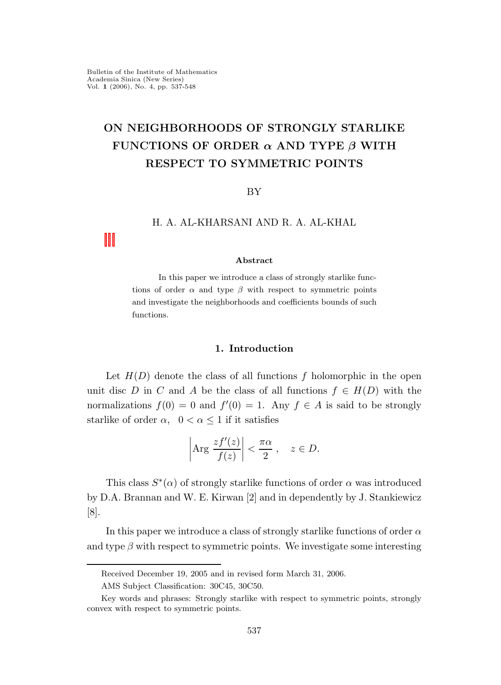# ON NEIGHBORHOODS OF STRONGLY STARLIKE FUNCTIONS OF ORDER  $\alpha$  AND TYPE  $\beta$  WITH RESPECT TO SYMMETRIC POINTS

### BY

## H. A. AL-KHARSANI AND R. A. AL-KHAL

#### Abstract

In this paper we introduce a class of strongly starlike functions of order  $\alpha$  and type  $\beta$  with respect to symmetric points and investigate the neighborhoods and coefficients bounds of such functions.

## 1. Introduction

Let  $H(D)$  denote the class of all functions f holomorphic in the open unit disc D in C and A be the class of all functions  $f \in H(D)$  with the normalizations  $f(0) = 0$  and  $f'(0) = 1$ . Any  $f \in A$  is said to be strongly starlike of order  $\alpha$ ,  $0 < \alpha \leq 1$  if it satisfies

$$
\left|\text{Arg}\,\frac{zf'(z)}{f(z)}\right| < \frac{\pi\alpha}{2}, \quad z \in D.
$$

This class  $S^*(\alpha)$  of strongly starlike functions of order  $\alpha$  was introduced by D.A. Brannan and W. E. Kirwan [2] and in dependently by J. Stankiewicz [8].

In this paper we introduce a class of strongly starlike functions of order  $\alpha$ and type  $\beta$  with respect to symmetric points. We investigate some interesting

Received December 19, 2005 and in revised form March 31, 2006.

AMS Subject Classification: 30C45, 30C50.

Key words and phrases: Strongly starlike with respect to symmetric points, strongly convex with respect to symmetric points.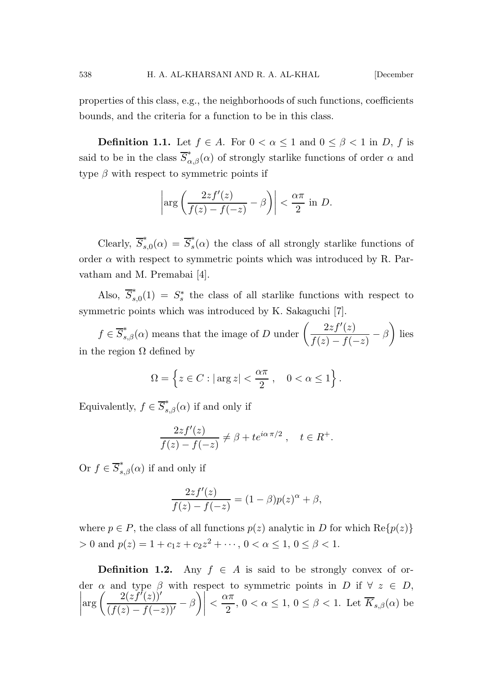properties of this class, e.g., the neighborhoods of such functions, coefficients bounds, and the criteria for a function to be in this class.

**Definition 1.1.** Let  $f \in A$ . For  $0 < \alpha \leq 1$  and  $0 \leq \beta < 1$  in D, f is said to be in the class  $\overline{S}_{\alpha,\beta}^*(\alpha)$  of strongly starlike functions of order  $\alpha$  and type  $\beta$  with respect to symmetric points if

$$
\left|\arg\left(\frac{2zf'(z)}{f(z)-f(-z)}-\beta\right)\right|<\frac{\alpha\pi}{2}\,\,\mathrm{in}\,\,D.
$$

Clearly,  $\overline{S}_s^*$  $s,0(\alpha) = \overline{S}_s^*$  $s(\alpha)$  the class of all strongly starlike functions of order  $\alpha$  with respect to symmetric points which was introduced by R. Parvatham and M. Premabai [4].

Also,  $\overline{S}_s^*$  $s_{s,0}^{*}(1) = S_{s}^{*}$ s the class of all starlike functions with respect to symmetric points which was introduced by K. Sakaguchi [7].

 $f \in \overline{S}_{s,\beta}^{*}(\alpha)$  means that the image of D under  $\left(\frac{2zf'(z)}{f(z)-f(z)}\right)$  $\frac{2zf'(z)}{f(z)-f(-z)} - \beta$ ) lies in the region  $\Omega$  defined by

$$
\Omega = \left\{ z \in C : |\arg z| < \frac{\alpha \pi}{2} \,, \quad 0 < \alpha \le 1 \right\}.
$$

Equivalently,  $f \in \overline{S}_{s,\beta}^*(\alpha)$  if and only if

$$
\frac{2zf'(z)}{f(z) - f(-z)} \neq \beta + te^{i\alpha \pi/2}, \quad t \in R^+.
$$

Or  $f \in \overline{S}_{s,\beta}^*(\alpha)$  if and only if

$$
\frac{2zf'(z)}{f(z) - f(-z)} = (1 - \beta)p(z)^{\alpha} + \beta,
$$

where  $p \in P$ , the class of all functions  $p(z)$  analytic in D for which  $\text{Re}\{p(z)\}\$ > 0 and  $p(z) = 1 + c_1 z + c_2 z^2 + \cdots$ ,  $0 < \alpha \le 1$ ,  $0 \le \beta < 1$ .

**Definition 1.2.** Any  $f \in A$  is said to be strongly convex of order  $\alpha$  and type  $\beta$  with respect to symmetric points in D if  $\forall z \in D$ ,  $\begin{array}{c} \begin{array}{c} \begin{array}{c} \begin{array}{c} \end{array} \\ \end{array} \end{array} \end{array}$  $\arg\left(\frac{2(zf'(z))'}{f'(z)}\right)$  $\frac{2(zf'(z))'}{(f(z)-f(-z))'} - \beta\bigg)$  $\lt \frac{\alpha \pi}{2}$  $\frac{\alpha}{2}$ ,  $0 < \alpha \leq 1$ ,  $0 \leq \beta < 1$ . Let  $K_{s,\beta}(\alpha)$  be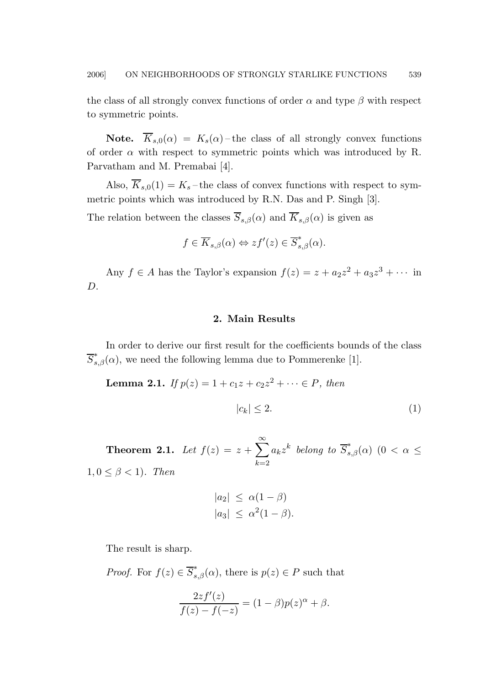the class of all strongly convex functions of order  $\alpha$  and type  $\beta$  with respect to symmetric points.

**Note.**  $\overline{K}_{s,0}(\alpha) = K_s(\alpha)$  – the class of all strongly convex functions of order  $\alpha$  with respect to symmetric points which was introduced by R. Parvatham and M. Premabai [4].

Also,  $\overline{K}_{s,0}(1) = K_s$  – the class of convex functions with respect to symmetric points which was introduced by R.N. Das and P. Singh [3].

The relation between the classes  $\overline{S}_{s,\beta}(\alpha)$  and  $\overline{K}_{s,\beta}(\alpha)$  is given as

$$
f \in \overline{K}_{s,\beta}(\alpha) \Leftrightarrow z f'(z) \in \overline{S}_{s,\beta}^*(\alpha).
$$

Any  $f \in A$  has the Taylor's expansion  $f(z) = z + a_2 z^2 + a_3 z^3 + \cdots$  in D.

## 2. Main Results

In order to derive our first result for the coefficients bounds of the class  $\overline{S}_{s,\beta}^*(\alpha)$ , we need the following lemma due to Pommerenke [1].

**Lemma 2.1.** If 
$$
p(z) = 1 + c_1 z + c_2 z^2 + \dots \in P
$$
, then  
 $|c_k| \le 2.$  (1)

**Theorem 2.1.** Let  $f(z) = z + \sum_{n=1}^{\infty}$  $k=2$  $a_k z^k$  belong to  $\overline{S}_{s,\beta}^*(\alpha)$   $(0 < \alpha \leq$  $1, 0 \leq \beta < 1$ ). Then

$$
|a_2| \leq \alpha(1-\beta)
$$
  

$$
|a_3| \leq \alpha^2(1-\beta).
$$

The result is sharp.

*Proof.* For  $f(z) \in \overline{S}_{s,\beta}^{*}(\alpha)$ , there is  $p(z) \in P$  such that

$$
\frac{2zf'(z)}{f(z) - f(-z)} = (1 - \beta)p(z)^{\alpha} + \beta.
$$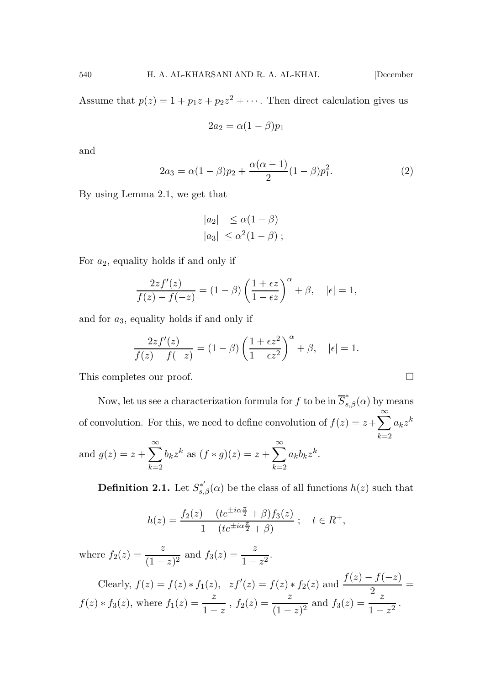$$
2a_2 = \alpha(1-\beta)p_1
$$

and

$$
2a_3 = \alpha(1-\beta)p_2 + \frac{\alpha(\alpha-1)}{2}(1-\beta)p_1^2.
$$
 (2)

By using Lemma 2.1, we get that

$$
|a_2| \leq \alpha(1-\beta)
$$
  

$$
|a_3| \leq \alpha^2(1-\beta);
$$

For  $a_2$ , equality holds if and only if

$$
\frac{2zf'(z)}{f(z) - f(-z)} = (1 - \beta) \left(\frac{1 + \epsilon z}{1 - \epsilon z}\right)^{\alpha} + \beta, \quad |\epsilon| = 1,
$$

and for  $a_3$ , equality holds if and only if

$$
\frac{2zf'(z)}{f(z)-f(-z)} = (1-\beta)\left(\frac{1+\epsilon z^2}{1-\epsilon z^2}\right)^{\alpha} + \beta, \quad |\epsilon| = 1.
$$

This completes our proof.

Now, let us see a characterization formula for  $f$  to be in  $\overline{S}_{s,\beta}^*(\alpha)$  by means of convolution. For this, we need to define convolution of  $f(z) = z + \sum_{k=0}^{\infty} a_k z^k$  $k=2$  $\infty$ k  $\sum^{\infty}$ k

and 
$$
g(z) = z + \sum_{k=2}^{\infty} b_k z^k
$$
 as  $(f * g)(z) = z + \sum_{k=2}^{\infty} a_k b_k z^k$ .

**Definition 2.1.** Let  $S_{s,\beta}^{*'}(\alpha)$  be the class of all functions  $h(z)$  such that

$$
h(z) = \frac{f_2(z) - (te^{\pm i\alpha \frac{\pi}{2}} + \beta) f_3(z)}{1 - (te^{\pm i\alpha \frac{\pi}{2}} + \beta)}; \quad t \in R^+,
$$

where  $f_2(z) = \frac{z}{(1-z)^2}$  and  $f_3(z) = \frac{z}{1-z^2}$ .

Clearly, 
$$
f(z) = f(z) * f_1(z)
$$
,  $zf'(z) = f(z) * f_2(z)$  and  $\frac{f(z) - f(-z)}{2} = f(z) * f_3(z)$ , where  $f_1(z) = \frac{z}{1 - z}$ ,  $f_2(z) = \frac{z}{(1 - z)^2}$  and  $f_3(z) = \frac{z}{1 - z^2}$ .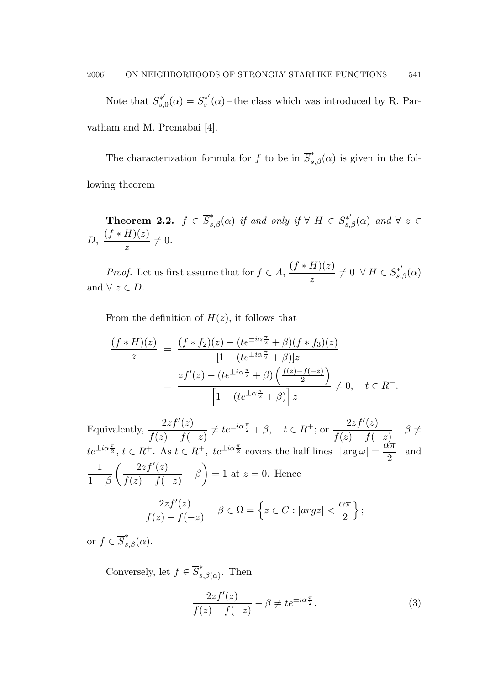Note that  $S_{s}^{*'}$  $s_{s,0}^{*'}(\alpha) = S_s^{*'}$  $s^*(\alpha)$  – the class which was introduced by R. Parvatham and M. Premabai [4].

The characterization formula for f to be in  $\overline{S}_{s,\beta}^*(\alpha)$  is given in the following theorem

**Theorem 2.2.**  $f \in \overline{S}_{s,\beta}^*(\alpha)$  if and only if  $\forall$   $H \in S_{s,\beta}^{*'}(\alpha)$  and  $\forall$   $z \in$ D,  $\frac{(f * H)(z)}{z} \neq 0.$ 

*Proof.* Let us first assume that for  $f \in A$ ,  $\frac{(f * H)(z)}{r}$  $\frac{H\mathcal{G}(z)}{z}\neq 0 \ \ \forall \ H\in S^{*'}_{s,\beta}(\alpha)$ and  $\forall z \in D$ .

From the definition of  $H(z)$ , it follows that

$$
\frac{(f * H)(z)}{z} = \frac{(f * f_2)(z) - (te^{\pm i\alpha \frac{\pi}{2}} + \beta)(f * f_3)(z)}{[1 - (te^{\pm i\alpha \frac{\pi}{2}} + \beta)]z}
$$
  
= 
$$
\frac{zf'(z) - (te^{\pm i\alpha \frac{\pi}{2}} + \beta)\left(\frac{f(z) - f(-z)}{2}\right)}{\left[1 - (te^{\pm \alpha \frac{\pi}{2}} + \beta)\right]z} \neq 0, \quad t \in R^+.
$$

Equivalently,  $\frac{2zf'(z)}{f(z)}$  $\frac{2zf'(z)}{f(z)-f(-z)} \neq te^{\pm i\alpha \frac{\pi}{2}} + \beta, \quad t \in R^+; \text{ or } \frac{2zf'(z)}{f(z)-f(-z)}$  $\frac{2z}{f(z)-f(-z)} - \beta \neq$  $te^{\pm i\alpha\frac{\pi}{2}}, t \in R^+$ . As  $t \in R^+$ ,  $te^{\pm i\alpha\frac{\pi}{2}}$  covers the half lines  $|\arg \omega| = \frac{\alpha\pi}{2}$  $\frac{3}{2}$  and 1  $1-\beta$  $\int 2zf'(z)$  $\frac{2zf'(z)}{f(z)-f(-z)} - \beta$  = 1 at  $z = 0$ . Hence  $2zf'(z)$  $\frac{2zf'(z)}{f(z)-f(-z)} - \beta \in \Omega = \left\{ z \in C : |argz| < \frac{\alpha \pi}{2} \right\}$ 2  $\}$ ;

or  $f \in \overline{S}_{s,\beta}^{*}(\alpha)$ .

Conversely, let  $f \in \overline{S}_s^*$  $\int_{s,\beta(\alpha)}^{\infty}$ . Then

<span id="page-4-0"></span>
$$
\frac{2zf'(z)}{f(z) - f(-z)} - \beta \neq t e^{\pm i\alpha \frac{\pi}{2}}.
$$
 (3)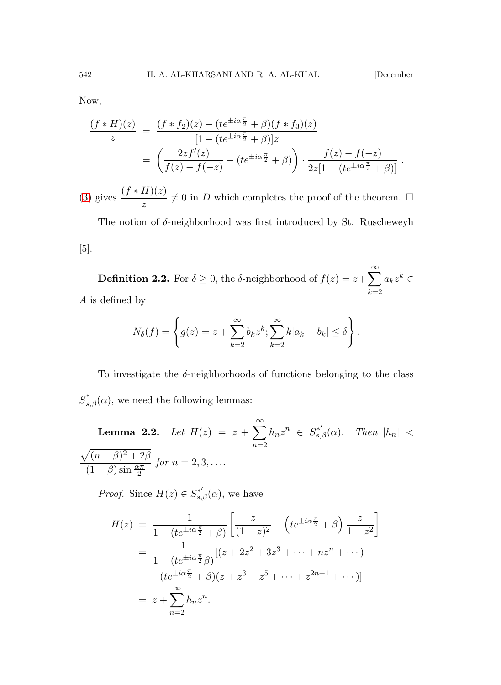.

Now,

$$
\frac{(f * H)(z)}{z} = \frac{(f * f_2)(z) - (te^{\pm i\alpha \frac{\pi}{2}} + \beta)(f * f_3)(z)}{[1 - (te^{\pm i\alpha \frac{\pi}{2}} + \beta)]z}
$$

$$
= \left(\frac{2zf'(z)}{f(z) - f(-z)} - (te^{\pm i\alpha \frac{\pi}{2}} + \beta)\right) \cdot \frac{f(z) - f(-z)}{2z[1 - (te^{\pm i\alpha \frac{\pi}{2}} + \beta)]}
$$

[\(3\)](#page-4-0) gives  $\frac{(f * H)(z)}{z} \neq 0$  in D which completes the proof of the theorem.  $\Box$ 

The notion of  $\delta$ -neighborhood was first introduced by St. Ruscheweyh [5].

**Definition 2.2.** For  $\delta \geq 0$ , the  $\delta$ -neighborhood of  $f(z) = z + \sum_{n=1}^{\infty}$  $k=2$  $a_k z^k \in$ A is defined by

$$
N_{\delta}(f) = \left\{ g(z) = z + \sum_{k=2}^{\infty} b_k z^k; \sum_{k=2}^{\infty} k |a_k - b_k| \leq \delta \right\}.
$$

To investigate the  $\delta$ -neighborhoods of functions belonging to the class  $\overline{S}_{s,\beta}^*(\alpha)$ , we need the following lemmas:

**Lemma 2.2.** Let  $H(z) = z + \sum_{n=1}^{\infty}$  $n=2$  $h_n z^n \in S_{s,\beta}^{*'}(\alpha)$ . Then  $|h_n|$  <  $\sqrt{(n-\beta)^2+2\beta}$  $(1 - \beta) \sin \frac{\alpha \pi}{2}$ for  $n = 2, 3, \ldots$ 

*Proof.* Since  $H(z) \in S_{s,\beta}^{*'}(\alpha)$ , we have

$$
H(z) = \frac{1}{1 - (te^{\pm i\alpha \frac{\pi}{2}} + \beta)} \left[ \frac{z}{(1 - z)^2} - \left( te^{\pm i\alpha \frac{\pi}{2}} + \beta \right) \frac{z}{1 - z^2} \right]
$$
  
= 
$$
\frac{1}{1 - (te^{\pm i\alpha \frac{\pi}{2}} \beta)} [(z + 2z^2 + 3z^3 + \dots + nz^n + \dots) - (te^{\pm i\alpha \frac{\pi}{2}} + \beta)(z + z^3 + z^5 + \dots + z^{2n+1} + \dots)]
$$
  
= 
$$
z + \sum_{n=2}^{\infty} h_n z^n.
$$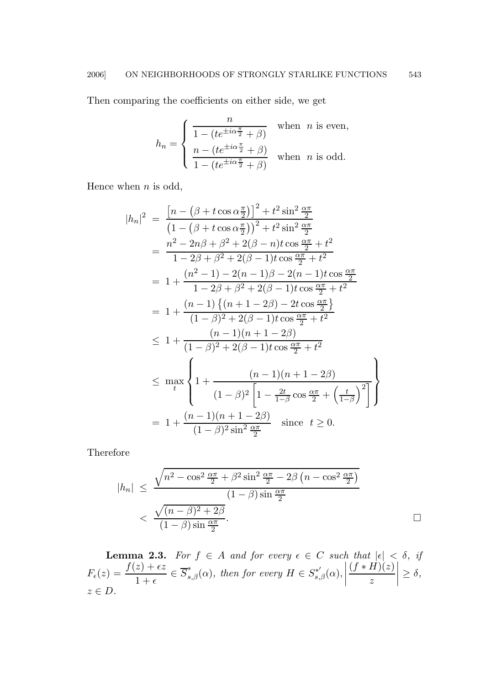Then comparing the coefficients on either side, we get

$$
h_n = \begin{cases} \frac{n}{1 - (te^{\pm i\alpha \frac{\pi}{2}} + \beta)} & \text{when } n \text{ is even,} \\ \frac{n - (te^{\pm i\alpha \frac{\pi}{2}} + \beta)}{1 - (te^{\pm i\alpha \frac{\pi}{2}} + \beta)} & \text{when } n \text{ is odd.} \end{cases}
$$

Hence when  $n$  is odd,

 $\overline{\phantom{a}}$ 

$$
h_n|^2 = \frac{\left[n - (\beta + t \cos \alpha \frac{\pi}{2})\right]^2 + t^2 \sin^2 \frac{\alpha \pi}{2}}{\left(1 - (\beta + t \cos \alpha \frac{\pi}{2})\right)^2 + t^2 \sin^2 \frac{\alpha \pi}{2}}
$$
  
\n
$$
= \frac{n^2 - 2n\beta + \beta^2 + 2(\beta - n)t \cos \frac{\alpha \pi}{2} + t^2}{1 - 2\beta + \beta^2 + 2(\beta - 1)t \cos \frac{\alpha \pi}{2} + t^2}
$$
  
\n
$$
= 1 + \frac{(n^2 - 1) - 2(n - 1)\beta - 2(n - 1)t \cos \frac{\alpha \pi}{2}}{1 - 2\beta + \beta^2 + 2(\beta - 1)t \cos \frac{\alpha \pi}{2} + t^2}
$$
  
\n
$$
= 1 + \frac{(n - 1)\{(n + 1 - 2\beta) - 2t \cos \frac{\alpha \pi}{2}\}}{(1 - \beta)^2 + 2(\beta - 1)t \cos \frac{\alpha \pi}{2} + t^2}
$$
  
\n
$$
\leq 1 + \frac{(n - 1)(n + 1 - 2\beta)}{(1 - \beta)^2 + 2(\beta - 1)t \cos \frac{\alpha \pi}{2} + t^2}
$$
  
\n
$$
\leq \max_t \left\{ 1 + \frac{(n - 1)(n + 1 - 2\beta)}{(1 - \beta)^2 \left[1 - \frac{2t}{1 - \beta} \cos \frac{\alpha \pi}{2} + \left(\frac{t}{1 - \beta}\right)^2\right]} \right\}
$$
  
\n
$$
= 1 + \frac{(n - 1)(n + 1 - 2\beta)}{(1 - \beta)^2 \sin^2 \frac{\alpha \pi}{2}} \quad \text{since } t \geq 0.
$$

Therefore

$$
|h_n| \le \frac{\sqrt{n^2 - \cos^2 \frac{\alpha \pi}{2} + \beta^2 \sin^2 \frac{\alpha \pi}{2} - 2\beta \left(n - \cos^2 \frac{\alpha \pi}{2}\right)}}{\left(1 - \beta\right) \sin \frac{\alpha \pi}{2}}
$$

$$
< \frac{\sqrt{(n - \beta)^2 + 2\beta}}{\left(1 - \beta\right) \sin \frac{\alpha \pi}{2}}.
$$

**Lemma 2.3.** For  $f \in A$  and for every  $\epsilon \in C$  such that  $|\epsilon| < \delta$ , if  $F_{\epsilon}(z) = \frac{f(z) + \epsilon z}{1 + \epsilon} \in \overline{S}_{s,\beta}^{*}(\alpha), \text{ then for every } H \in S_{s,\beta}^{*'}(\alpha), \vert$  $(f * H)(z)$ z  $\begin{array}{c} \begin{array}{c} \begin{array}{c} \end{array} \\ \begin{array}{c} \end{array} \end{array} \end{array}$  $\geq \delta$ ,  $z \in D$ .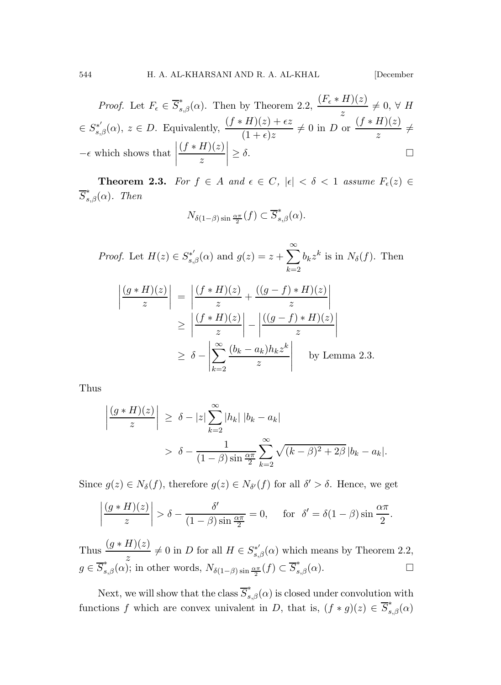*Proof.* Let  $F_{\epsilon} \in \overline{S}_{s,\beta}^{*}(\alpha)$ . Then by Theorem 2.2,  $\frac{(F_{\epsilon} * H)(z)}{z} \neq 0, \forall H$  $\epsilon \in S_{s,\beta}^{*'}(\alpha)$ ,  $z \in D$ . Equivalently,  $\frac{(f * H)(z) + \epsilon z}{(1 + \epsilon)z} \neq 0$  in D or  $\frac{(f * H)(z)}{z}$  $\frac{x}{z}$   $\neq$  $-\epsilon$  which shows that  $\vert$  $(f * H)(z)$ z  $\begin{array}{c} \begin{array}{c} \begin{array}{c} \begin{array}{c} \end{array}\\ \end{array} \end{array} \end{array}$  $\geq \delta$ .

**Theorem 2.3.** For  $f \in A$  and  $\epsilon \in C$ ,  $|\epsilon| < \delta < 1$  assume  $F_{\epsilon}(z) \in$  $\overline{S}_{s,\beta}^*(\alpha)$ . Then

$$
N_{\delta(1-\beta)\sin\frac{\alpha\pi}{2}}(f)\subset \overline{S}_{s,\beta}^*(\alpha).
$$

*Proof.* Let  $H(z) \in S_{s,\beta}^{*'}(\alpha)$  and  $g(z) = z + \sum_{n=1}^{\infty}$  $k=2$  $b_k z^k$  is in  $N_\delta(f)$ . Then

$$
\left| \frac{(g * H)(z)}{z} \right| = \left| \frac{(f * H)(z)}{z} + \frac{((g - f) * H)(z)}{z} \right|
$$
  
\n
$$
\geq \left| \frac{(f * H)(z)}{z} \right| - \left| \frac{((g - f) * H)(z)}{z} \right|
$$
  
\n
$$
\geq \delta - \left| \sum_{k=2}^{\infty} \frac{(b_k - a_k) h_k z^k}{z} \right| \text{ by Lemma 2.3.}
$$

Thus

$$
\left|\frac{(g*H)(z)}{z}\right| \geq \delta - |z| \sum_{k=2}^{\infty} |h_k| |b_k - a_k|
$$
  
> 
$$
\delta - \frac{1}{(1-\beta)\sin\frac{\alpha\pi}{2}} \sum_{k=2}^{\infty} \sqrt{(k-\beta)^2 + 2\beta} |b_k - a_k|.
$$

Since  $g(z) \in N_{\delta}(f)$ , therefore  $g(z) \in N_{\delta'}(f)$  for all  $\delta' > \delta$ . Hence, we get

$$
\left|\frac{(g*H)(z)}{z}\right| > \delta - \frac{\delta'}{(1-\beta)\sin\frac{\alpha\pi}{2}} = 0, \quad \text{for } \delta' = \delta(1-\beta)\sin\frac{\alpha\pi}{2}.
$$

Thus  $\frac{(g * H)(z)}{z} \neq 0$  in D for all  $H \in S_{s,\beta}^{*\prime}(\alpha)$  which means by Theorem 2.2,  $g \in \overline{S}_{s,\beta}^{*}(\alpha)$ ; in other words,  $N_{\delta(1-\beta)\sin\frac{\alpha\pi}{2}}(f) \subset \overline{S}_{s,\beta}^{*}(\alpha)$ .

Next, we will show that the class  $\overline{S}_{s,\beta}^*(\alpha)$  is closed under convolution with functions f which are convex univalent in D, that is,  $(f * g)(z) \in \overline{S}_{s,\beta}^*(\alpha)$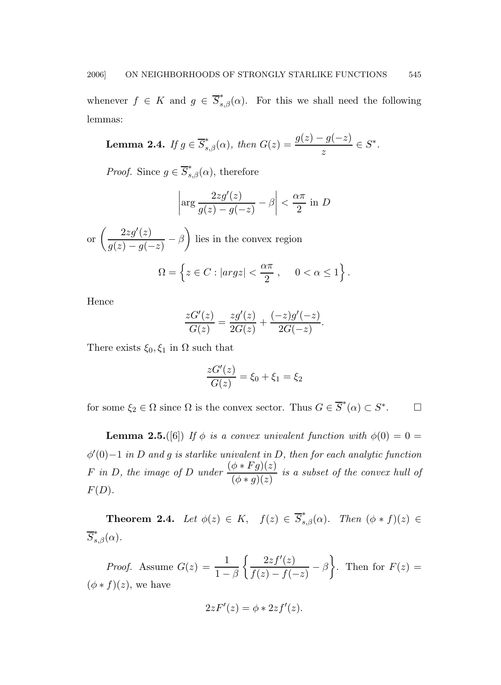whenever  $f \in K$  and  $g \in \overline{S}_{s,\beta}^*(\alpha)$ . For this we shall need the following lemmas:

**Lemma 2.4.** If 
$$
g \in \overline{S}_{s,\beta}^*(\alpha)
$$
, then  $G(z) = \frac{g(z) - g(-z)}{z} \in S^*$ .

*Proof.* Since  $g \in \overline{S}_{s,\beta}^*(\alpha)$ , therefore

$$
\left|\arg\frac{2zg'(z)}{g(z)-g(-z)}-\beta\right|<\frac{\alpha\pi}{2}\text{ in }D
$$

or 
$$
\left(\frac{2zg'(z)}{g(z) - g(-z)} - \beta\right)
$$
 lies in the convex region  

$$
\Omega = \left\{z \in C : |argz| < \frac{\alpha \pi}{2}, \quad 0 < \alpha \le 1\right\}
$$

Hence

$$
\frac{zG'(z)}{G(z)} = \frac{zg'(z)}{2G(z)} + \frac{(-z)g'(-z)}{2G(-z)}.
$$

.

There exists  $\xi_0, \xi_1$  in  $\Omega$  such that

$$
\frac{zG'(z)}{G(z)} = \xi_0 + \xi_1 = \xi_2
$$

for some  $\xi_2 \in \Omega$  since  $\Omega$  is the convex sector. Thus  $G \in \overline{S}^*(\alpha) \subset S^*$  $\Box$ 

**Lemma 2.5.**([6]) If  $\phi$  is a convex univalent function with  $\phi(0) = 0$  =  $\phi'(0)-1$  in D and g is starlike univalent in D, then for each analytic function F in D, the image of D under  $\frac{(\phi * Fg)(z)}{(\phi * g)(z)}$  is a subset of the convex hull of  $F(D)$ .

**Theorem 2.4.** Let  $\phi(z) \in K$ ,  $f(z) \in \overline{S}_{s,\beta}^*(\alpha)$ . Then  $(\phi * f)(z) \in$  $\overline{S}_{s,\beta}^*(\alpha)$ .

*Proof.* Assume  $G(z) = \frac{1}{1-\beta}$  $\int 2zf'(z)$  $\frac{2zf'(z)}{f(z)-f(-z)} - \beta$ . Then for  $F(z) =$  $(\phi * f)(z)$ , we have

$$
2zF'(z) = \phi * 2zf'(z).
$$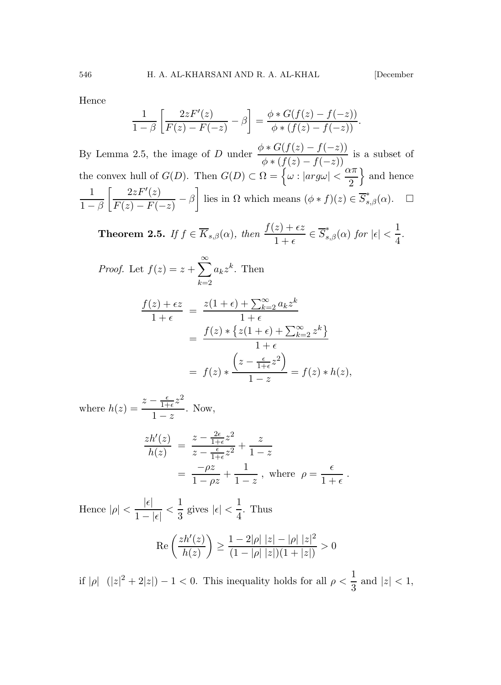Hence

$$
\frac{1}{1-\beta} \left[ \frac{2zF'(z)}{F(z) - F(-z)} - \beta \right] = \frac{\phi * G(f(z) - f(-z))}{\phi * (f(z) - f(-z))}.
$$

By Lemma 2.5, the image of D under  $\frac{\phi * G(f(z) - f(-z))}{\phi * (f(z) - f(-z))}$  is a subset of the convex hull of  $G(D)$ . Then  $G(D) \subset \Omega = \{ \omega : |arg\omega| < \frac{\alpha \pi}{2}$ 2  $\}$  and hence 1  $1-\beta$  $\lceil 2zF'(z)$  $\frac{2zF'(z)}{F(z)-F(-z)} - \beta$  lies in  $\Omega$  which means  $(\phi * f)(z) \in \overline{S}_{s,\beta}^*(\alpha)$ .  $\Box$ 

**Theorem 2.5.** If 
$$
f \in \overline{K}_{s,\beta}(\alpha)
$$
, then  $\frac{f(z)+\epsilon z}{1+\epsilon} \in \overline{S}_{s,\beta}^*(\alpha)$  for  $|\epsilon| < \frac{1}{4}$ .

Proof. Let 
$$
f(z) = z + \sum_{k=2}^{\infty} a_k z^k
$$
. Then  
\n
$$
\frac{f(z) + \epsilon z}{1 + \epsilon} = \frac{z(1 + \epsilon) + \sum_{k=2}^{\infty} a_k z^k}{1 + \epsilon}
$$
\n
$$
= \frac{f(z) * \{z(1 + \epsilon) + \sum_{k=2}^{\infty} z^k\}}{1 + \epsilon}
$$
\n
$$
= f(z) * \frac{\left(z - \frac{\epsilon}{1 + \epsilon} z^2\right)}{1 - z} = f(z) * h(z),
$$

where  $h(z) =$  $z-\frac{\epsilon}{1+}$  $\frac{\epsilon}{1+\epsilon}z^2$  $\frac{1+\epsilon}{1-z}$ . Now,

$$
\frac{zh'(z)}{h(z)} = \frac{z - \frac{2\epsilon}{1+\epsilon}z^2}{z - \frac{\epsilon}{1+\epsilon}z^2} + \frac{z}{1-z}
$$

$$
= \frac{-\rho z}{1-\rho z} + \frac{1}{1-z}, \text{ where } \rho = \frac{\epsilon}{1+\epsilon}.
$$

Hence  $|\rho| < \frac{|\epsilon|}{1}$  $\frac{|\epsilon|}{1-|\epsilon|}<\frac{1}{3}$  $\frac{1}{3}$  gives  $|\epsilon| < \frac{1}{4}$  $\frac{1}{4}$ . Thus

$$
\operatorname{Re}\left(\frac{zh'(z)}{h(z)}\right) \ge \frac{1-2|\rho| \; |z| - |\rho| \; |z|^2}{(1-|\rho| \; |z|)(1+|z|)} > 0
$$

if  $|\rho|$   $(|z|^2 + 2|z|) - 1 < 0$ . This inequality holds for all  $\rho < \frac{1}{2}$  $\frac{1}{3}$  and  $|z| < 1$ ,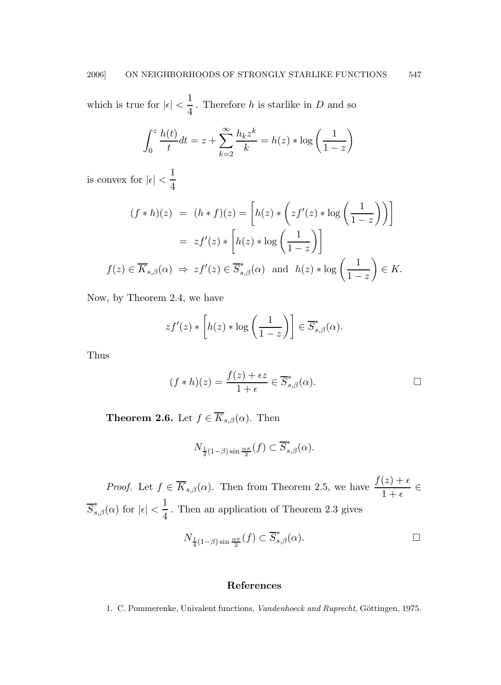which is true for  $|\epsilon| < \frac{1}{4}$  $\frac{1}{4}$ . Therefore *h* is starlike in *D* and so

$$
\int_0^z \frac{h(t)}{t} dt = z + \sum_{k=2}^\infty \frac{h_k z^k}{k} = h(z) * \log\left(\frac{1}{1-z}\right)
$$

is convex for  $|\epsilon| < \frac{1}{4}$ 4

$$
(f * h)(z) = (h * f)(z) = \left[ h(z) * \left( z f'(z) * \log \left( \frac{1}{1 - z} \right) \right) \right]
$$

$$
= z f'(z) * \left[ h(z) * \log \left( \frac{1}{1 - z} \right) \right]
$$

$$
f(z) \in \overline{K}_{s,\beta}(\alpha) \implies z f'(z) \in \overline{S}_{s,\beta}^*(\alpha) \text{ and } h(z) * \log \left( \frac{1}{1 - z} \right) \in K.
$$

Now, by Theorem 2.4, we have

$$
zf'(z) * [h(z) * \log\left(\frac{1}{1-z}\right)] \in \overline{S}_{s,\beta}^*(\alpha).
$$

Thus

$$
(f * h)(z) = \frac{f(z) + \epsilon z}{1 + \epsilon} \in \overline{S}_{s,\beta}^*(\alpha).
$$

**Theorem 2.6.** Let  $f \in \overline{K}_{s,\beta}(\alpha)$ . Then

$$
N_{\frac{1}{4}(1-\beta)\sin\frac{\alpha\pi}{2}}(f) \subset \overline{S}_{s,\beta}^*(\alpha).
$$

*Proof.* Let  $f \in \overline{K}_{s,\beta}(\alpha)$ . Then from Theorem 2.5, we have  $\frac{f(z) + \epsilon}{1 + \epsilon} \in$  $\overline{S}_{s,\beta}^*(\alpha)$  for  $|\epsilon| < \frac{1}{4}$  $\frac{1}{4}$ . Then an application of Theorem 2.3 gives  $N_{\frac{1}{4}(1-\beta)\sin\frac{\alpha\pi}{2}}(f) \subset \overline{S}^*_{s,\beta}(\alpha).$ 

## References

1. C. Pommerenke, Univalent functions, Vandenhoeck and Ruprecht, Göttingen, 1975.